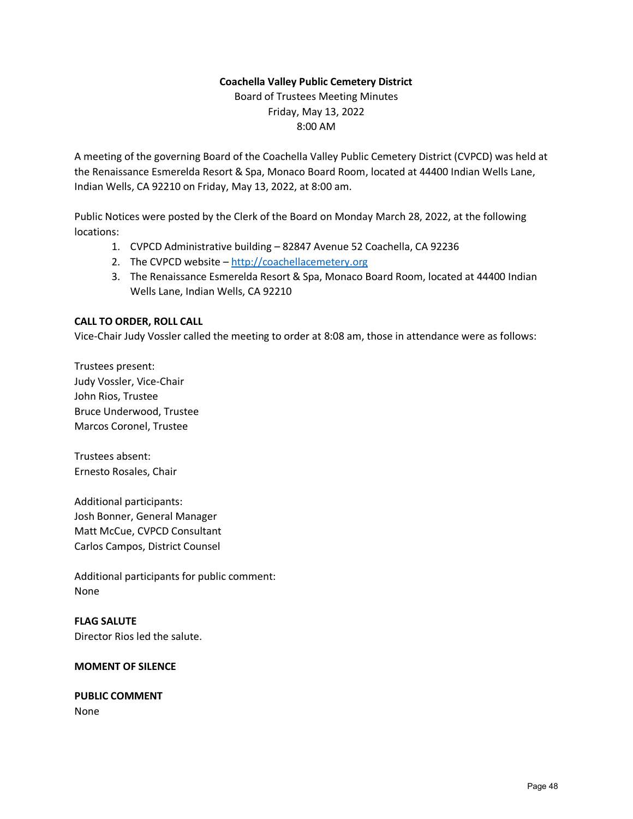# **Coachella Valley Public Cemetery District**

Board of Trustees Meeting Minutes Friday, May 13, 2022 8:00 AM

A meeting of the governing Board of the Coachella Valley Public Cemetery District (CVPCD) was held at the Renaissance Esmerelda Resort & Spa, Monaco Board Room, located at 44400 Indian Wells Lane, Indian Wells, CA 92210 on Friday, May 13, 2022, at 8:00 am.

Public Notices were posted by the Clerk of the Board on Monday March 28, 2022, at the following locations:

- 1. CVPCD Administrative building 82847 Avenue 52 Coachella, CA 92236
- 2. The CVPCD website [http://coachellacemetery.org](http://coachellacemetery.org/)
- 3. The Renaissance Esmerelda Resort & Spa, Monaco Board Room, located at 44400 Indian Wells Lane, Indian Wells, CA 92210

# **CALL TO ORDER, ROLL CALL**

Vice-Chair Judy Vossler called the meeting to order at 8:08 am, those in attendance were as follows:

Trustees present: Judy Vossler, Vice-Chair John Rios, Trustee Bruce Underwood, Trustee Marcos Coronel, Trustee

Trustees absent: Ernesto Rosales, Chair

Additional participants: Josh Bonner, General Manager Matt McCue, CVPCD Consultant Carlos Campos, District Counsel

Additional participants for public comment: None

**FLAG SALUTE** Director Rios led the salute.

#### **MOMENT OF SILENCE**

#### **PUBLIC COMMENT** None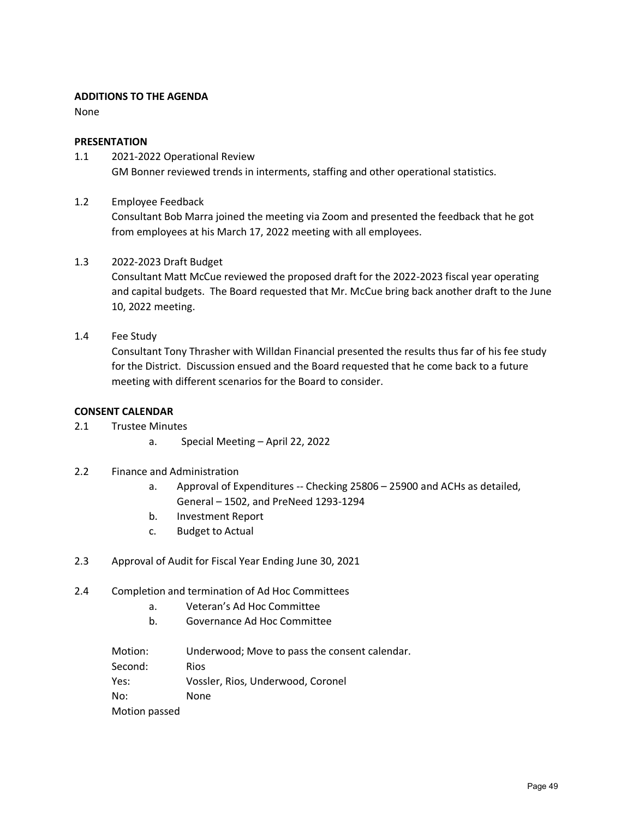# **ADDITIONS TO THE AGENDA**

None

#### **PRESENTATION**

- 1.1 2021-2022 Operational Review GM Bonner reviewed trends in interments, staffing and other operational statistics.
- 1.2 Employee Feedback

Consultant Bob Marra joined the meeting via Zoom and presented the feedback that he got from employees at his March 17, 2022 meeting with all employees.

1.3 2022-2023 Draft Budget

Consultant Matt McCue reviewed the proposed draft for the 2022-2023 fiscal year operating and capital budgets. The Board requested that Mr. McCue bring back another draft to the June 10, 2022 meeting.

1.4 Fee Study

Consultant Tony Thrasher with Willdan Financial presented the results thus far of his fee study for the District. Discussion ensued and the Board requested that he come back to a future meeting with different scenarios for the Board to consider.

## **CONSENT CALENDAR**

- 2.1 Trustee Minutes
	- a. Special Meeting April 22, 2022
- 2.2 Finance and Administration
	- a. Approval of Expenditures -- Checking 25806 25900 and ACHs as detailed, General – 1502, and PreNeed 1293-1294
	- b. Investment Report
	- c. Budget to Actual
- 2.3 Approval of Audit for Fiscal Year Ending June 30, 2021
- 2.4 Completion and termination of Ad Hoc Committees
	- a. Veteran's Ad Hoc Committee
	- b. Governance Ad Hoc Committee

Motion: Underwood; Move to pass the consent calendar. Second: Rios Yes: Vossler, Rios, Underwood, Coronel No: None Motion passed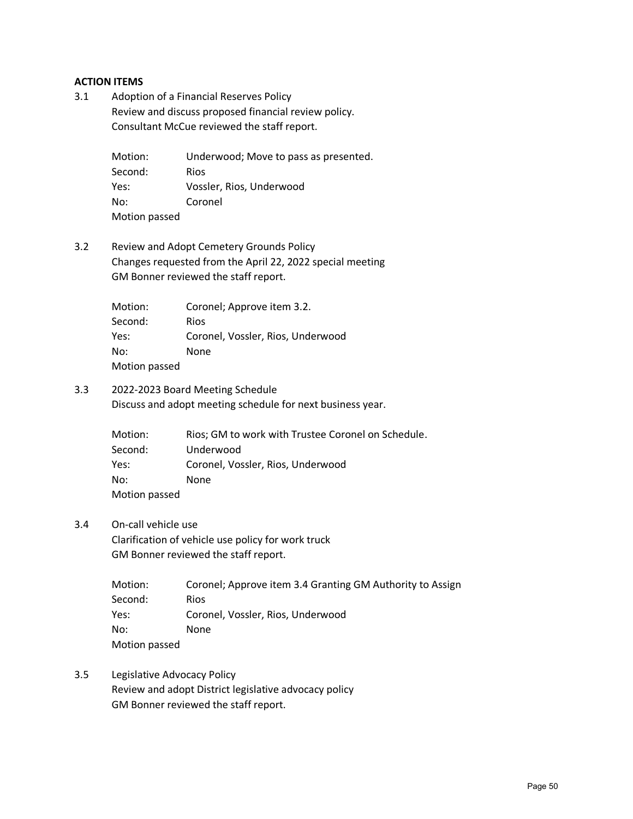## **ACTION ITEMS**

3.1 Adoption of a Financial Reserves Policy Review and discuss proposed financial review policy. Consultant McCue reviewed the staff report.

> Motion: Underwood; Move to pass as presented. Second: Rios Yes: Vossler, Rios, Underwood No: Coronel Motion passed

3.2 Review and Adopt Cemetery Grounds Policy Changes requested from the April 22, 2022 special meeting GM Bonner reviewed the staff report.

| Motion:       | Coronel; Approve item 3.2.        |
|---------------|-----------------------------------|
| Second:       | Rios                              |
| Yes:          | Coronel, Vossler, Rios, Underwood |
| No:           | None                              |
| Motion passed |                                   |

3.3 2022-2023 Board Meeting Schedule Discuss and adopt meeting schedule for next business year.

| Motion:       | Rios; GM to work with Trustee Coronel on Schedule. |
|---------------|----------------------------------------------------|
| Second:       | Underwood                                          |
| Yes:          | Coronel, Vossler, Rios, Underwood                  |
| No:           | <b>None</b>                                        |
| Motion passed |                                                    |

3.4 On-call vehicle use

Clarification of vehicle use policy for work truck GM Bonner reviewed the staff report.

| Motion:       | Coronel; Approve item 3.4 Granting GM Authority to Assign |
|---------------|-----------------------------------------------------------|
| Second:       | <b>Rios</b>                                               |
| Yes:          | Coronel, Vossler, Rios, Underwood                         |
| No:           | None                                                      |
| Motion passed |                                                           |

3.5 Legislative Advocacy Policy Review and adopt District legislative advocacy policy GM Bonner reviewed the staff report.